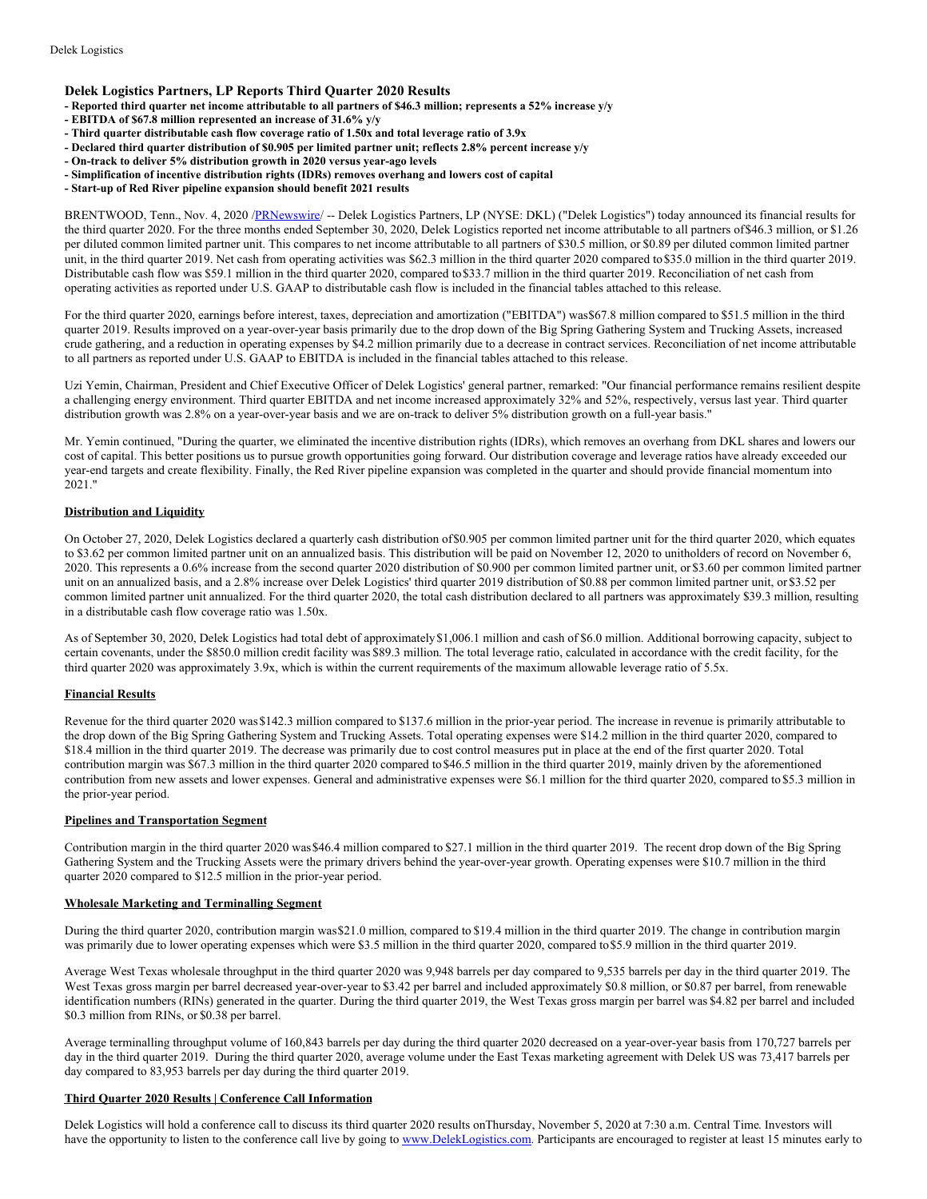## **Delek Logistics Partners, LP Reports Third Quarter 2020 Results**

- Reported third quarter net income attributable to all partners of \$46.3 million; represents a 52% increase y/y
- **- EBITDA of \$67.8 million represented an increase of 31.6% y/y**
- **- Third quarter distributable cash flow coverage ratio of 1.50x and total leverage ratio of 3.9x**
- **- Declared third quarter distribution of \$0.905 per limited partner unit; reflects 2.8% percent increase y/y**
- **- On-track to deliver 5% distribution growth in 2020 versus year-ago levels**
- **- Simplification of incentive distribution rights (IDRs) removes overhang and lowers cost of capital**
- **- Start-up of Red River pipeline expansion should benefit 2021 results**

BRENTWOOD, Tenn., Nov. 4, 2020 [/PRNewswire/](http://www.prnewswire.com/) -- Delek Logistics Partners, LP (NYSE: DKL) ("Delek Logistics") today announced its financial results for the third quarter 2020. For the three months ended September 30, 2020, Delek Logistics reported net income attributable to all partners of\$46.3 million, or \$1.26 per diluted common limited partner unit. This compares to net income attributable to all partners of \$30.5 million, or \$0.89 per diluted common limited partner unit, in the third quarter 2019. Net cash from operating activities was \$62.3 million in the third quarter 2020 compared to\$35.0 million in the third quarter 2019. Distributable cash flow was \$59.1 million in the third quarter 2020, compared to\$33.7 million in the third quarter 2019. Reconciliation of net cash from operating activities as reported under U.S. GAAP to distributable cash flow is included in the financial tables attached to this release.

For the third quarter 2020, earnings before interest, taxes, depreciation and amortization ("EBITDA") was\$67.8 million compared to \$51.5 million in the third quarter 2019. Results improved on a year-over-year basis primarily due to the drop down of the Big Spring Gathering System and Trucking Assets, increased crude gathering, and a reduction in operating expenses by \$4.2 million primarily due to a decrease in contract services. Reconciliation of net income attributable to all partners as reported under U.S. GAAP to EBITDA is included in the financial tables attached to this release.

Uzi Yemin, Chairman, President and Chief Executive Officer of Delek Logistics' general partner, remarked: "Our financial performance remains resilient despite a challenging energy environment. Third quarter EBITDA and net income increased approximately 32% and 52%, respectively, versus last year. Third quarter distribution growth was 2.8% on a year-over-year basis and we are on-track to deliver 5% distribution growth on a full-year basis."

Mr. Yemin continued, "During the quarter, we eliminated the incentive distribution rights (IDRs), which removes an overhang from DKL shares and lowers our cost of capital. This better positions us to pursue growth opportunities going forward. Our distribution coverage and leverage ratios have already exceeded our year-end targets and create flexibility. Finally, the Red River pipeline expansion was completed in the quarter and should provide financial momentum into 2021."

## **Distribution and Liquidity**

On October 27, 2020, Delek Logistics declared a quarterly cash distribution of\$0.905 per common limited partner unit for the third quarter 2020, which equates to \$3.62 per common limited partner unit on an annualized basis. This distribution will be paid on November 12, 2020 to unitholders of record on November 6, 2020. This represents a 0.6% increase from the second quarter 2020 distribution of \$0.900 per common limited partner unit, or \$3.60 per common limited partner unit on an annualized basis, and a 2.8% increase over Delek Logistics' third quarter 2019 distribution of \$0.88 per common limited partner unit, or \$3.52 per common limited partner unit annualized. For the third quarter 2020, the total cash distribution declared to all partners was approximately \$39.3 million, resulting in a distributable cash flow coverage ratio was 1.50x.

As of September 30, 2020, Delek Logistics had total debt of approximately\$1,006.1 million and cash of \$6.0 million. Additional borrowing capacity, subject to certain covenants, under the \$850.0 million credit facility was \$89.3 million. The total leverage ratio, calculated in accordance with the credit facility, for the third quarter 2020 was approximately 3.9x, which is within the current requirements of the maximum allowable leverage ratio of 5.5x.

## **Financial Results**

Revenue for the third quarter 2020 was\$142.3 million compared to \$137.6 million in the prior-year period. The increase in revenue is primarily attributable to the drop down of the Big Spring Gathering System and Trucking Assets. Total operating expenses were \$14.2 million in the third quarter 2020, compared to \$18.4 million in the third quarter 2019. The decrease was primarily due to cost control measures put in place at the end of the first quarter 2020. Total contribution margin was \$67.3 million in the third quarter 2020 compared to\$46.5 million in the third quarter 2019, mainly driven by the aforementioned contribution from new assets and lower expenses. General and administrative expenses were \$6.1 million for the third quarter 2020, compared to \$5.3 million in the prior-year period.

#### **Pipelines and Transportation Segment**

Contribution margin in the third quarter 2020 was\$46.4 million compared to \$27.1 million in the third quarter 2019. The recent drop down of the Big Spring Gathering System and the Trucking Assets were the primary drivers behind the year-over-year growth. Operating expenses were \$10.7 million in the third quarter 2020 compared to \$12.5 million in the prior-year period.

#### **Wholesale Marketing and Terminalling Segment**

During the third quarter 2020, contribution margin was\$21.0 million, compared to \$19.4 million in the third quarter 2019. The change in contribution margin was primarily due to lower operating expenses which were \$3.5 million in the third quarter 2020, compared to\$5.9 million in the third quarter 2019.

Average West Texas wholesale throughput in the third quarter 2020 was 9,948 barrels per day compared to 9,535 barrels per day in the third quarter 2019. The West Texas gross margin per barrel decreased year-over-year to \$3.42 per barrel and included approximately \$0.8 million, or \$0.87 per barrel, from renewable identification numbers (RINs) generated in the quarter. During the third quarter 2019, the West Texas gross margin per barrel was \$4.82 per barrel and included \$0.3 million from RINs, or \$0.38 per barrel.

Average terminalling throughput volume of 160,843 barrels per day during the third quarter 2020 decreased on a year-over-year basis from 170,727 barrels per day in the third quarter 2019. During the third quarter 2020, average volume under the East Texas marketing agreement with Delek US was 73,417 barrels per day compared to 83,953 barrels per day during the third quarter 2019.

#### **Third Quarter 2020 Results | Conference Call Information**

Delek Logistics will hold a conference call to discuss its third quarter 2020 results onThursday, November 5, 2020 at 7:30 a.m. Central Time. Investors will have the opportunity to listen to the conference call live by going to [www.DelekLogistics.com](http://www.deleklogistics.com). Participants are encouraged to register at least 15 minutes early to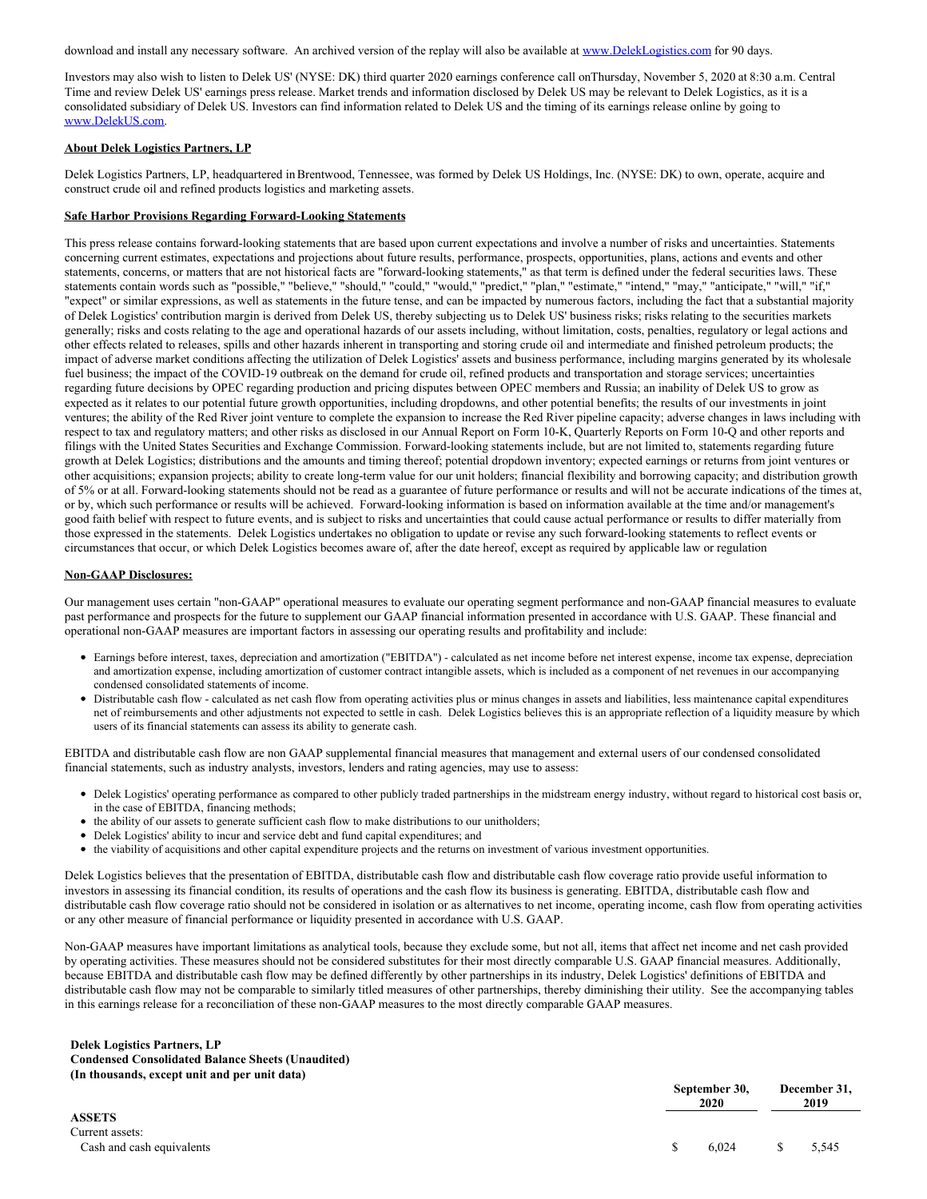download and install any necessary software. An archived version of the replay will also be available at [www.DelekLogistics.com](http://www.deleklogistics.com) for 90 days.

Investors may also wish to listen to Delek US' (NYSE: DK) third quarter 2020 earnings conference call onThursday, November 5, 2020 at 8:30 a.m. Central Time and review Delek US' earnings press release. Market trends and information disclosed by Delek US may be relevant to Delek Logistics, as it is a consolidated subsidiary of Delek US. Investors can find information related to Delek US and the timing of its earnings release online by going to [www.DelekUS.com](http://www.delekus.com).

## **About Delek Logistics Partners, LP**

Delek Logistics Partners, LP, headquartered inBrentwood, Tennessee, was formed by Delek US Holdings, Inc. (NYSE: DK) to own, operate, acquire and construct crude oil and refined products logistics and marketing assets.

## **Safe Harbor Provisions Regarding Forward-Looking Statements**

This press release contains forward-looking statements that are based upon current expectations and involve a number of risks and uncertainties. Statements concerning current estimates, expectations and projections about future results, performance, prospects, opportunities, plans, actions and events and other statements, concerns, or matters that are not historical facts are "forward-looking statements," as that term is defined under the federal securities laws. These statements contain words such as "possible," "believe," "should," "could," "would," "predict," "plan," "estimate," "intend," "may," "anticipate," "will," "if," "expect" or similar expressions, as well as statements in the future tense, and can be impacted by numerous factors, including the fact that a substantial majority of Delek Logistics' contribution margin is derived from Delek US, thereby subjecting us to Delek US' business risks; risks relating to the securities markets generally; risks and costs relating to the age and operational hazards of our assets including, without limitation, costs, penalties, regulatory or legal actions and other effects related to releases, spills and other hazards inherent in transporting and storing crude oil and intermediate and finished petroleum products; the impact of adverse market conditions affecting the utilization of Delek Logistics' assets and business performance, including margins generated by its wholesale fuel business; the impact of the COVID-19 outbreak on the demand for crude oil, refined products and transportation and storage services; uncertainties regarding future decisions by OPEC regarding production and pricing disputes between OPEC members and Russia; an inability of Delek US to grow as expected as it relates to our potential future growth opportunities, including dropdowns, and other potential benefits; the results of our investments in joint ventures; the ability of the Red River joint venture to complete the expansion to increase the Red River pipeline capacity; adverse changes in laws including with respect to tax and regulatory matters; and other risks as disclosed in our Annual Report on Form 10-K, Quarterly Reports on Form 10-Q and other reports and filings with the United States Securities and Exchange Commission. Forward-looking statements include, but are not limited to, statements regarding future growth at Delek Logistics; distributions and the amounts and timing thereof; potential dropdown inventory; expected earnings or returns from joint ventures or other acquisitions; expansion projects; ability to create long-term value for our unit holders; financial flexibility and borrowing capacity; and distribution growth of 5% or at all. Forward-looking statements should not be read as a guarantee of future performance or results and will not be accurate indications of the times at, or by, which such performance or results will be achieved. Forward-looking information is based on information available at the time and/or management's good faith belief with respect to future events, and is subject to risks and uncertainties that could cause actual performance or results to differ materially from those expressed in the statements. Delek Logistics undertakes no obligation to update or revise any such forward-looking statements to reflect events or circumstances that occur, or which Delek Logistics becomes aware of, after the date hereof, except as required by applicable law or regulation

#### **Non-GAAP Disclosures:**

Our management uses certain "non-GAAP" operational measures to evaluate our operating segment performance and non-GAAP financial measures to evaluate past performance and prospects for the future to supplement our GAAP financial information presented in accordance with U.S. GAAP. These financial and operational non-GAAP measures are important factors in assessing our operating results and profitability and include:

- Earnings before interest, taxes, depreciation and amortization ("EBITDA") calculated as net income before net interest expense, income tax expense, depreciation and amortization expense, including amortization of customer contract intangible assets, which is included as a component of net revenues in our accompanying condensed consolidated statements of income.
- Distributable cash flow calculated as net cash flow from operating activities plus or minus changes in assets and liabilities, less maintenance capital expenditures net of reimbursements and other adjustments not expected to settle in cash. Delek Logistics believes this is an appropriate reflection of a liquidity measure by which users of its financial statements can assess its ability to generate cash.

EBITDA and distributable cash flow are non GAAP supplemental financial measures that management and external users of our condensed consolidated financial statements, such as industry analysts, investors, lenders and rating agencies, may use to assess:

- Delek Logistics' operating performance as compared to other publicly traded partnerships in the midstream energy industry, without regard to historical cost basis or, in the case of EBITDA, financing methods;
- the ability of our assets to generate sufficient cash flow to make distributions to our unitholders;
- Delek Logistics' ability to incur and service debt and fund capital expenditures; and
- the viability of acquisitions and other capital expenditure projects and the returns on investment of various investment opportunities.

Delek Logistics believes that the presentation of EBITDA, distributable cash flow and distributable cash flow coverage ratio provide useful information to investors in assessing its financial condition, its results of operations and the cash flow its business is generating. EBITDA, distributable cash flow and distributable cash flow coverage ratio should not be considered in isolation or as alternatives to net income, operating income, cash flow from operating activities or any other measure of financial performance or liquidity presented in accordance with U.S. GAAP.

Non-GAAP measures have important limitations as analytical tools, because they exclude some, but not all, items that affect net income and net cash provided by operating activities. These measures should not be considered substitutes for their most directly comparable U.S. GAAP financial measures. Additionally, because EBITDA and distributable cash flow may be defined differently by other partnerships in its industry, Delek Logistics' definitions of EBITDA and distributable cash flow may not be comparable to similarly titled measures of other partnerships, thereby diminishing their utility. See the accompanying tables in this earnings release for a reconciliation of these non-GAAP measures to the most directly comparable GAAP measures.

## **Delek Logistics Partners, LP Condensed Consolidated Balance Sheets (Unaudited) (In thousands, except unit and per unit data)**

|                                                               | September 30,<br>2020 | December 31,<br>2019 |
|---------------------------------------------------------------|-----------------------|----------------------|
| <b>ASSETS</b><br>Current assets:<br>Cash and cash equivalents | 6.024                 | 5,545                |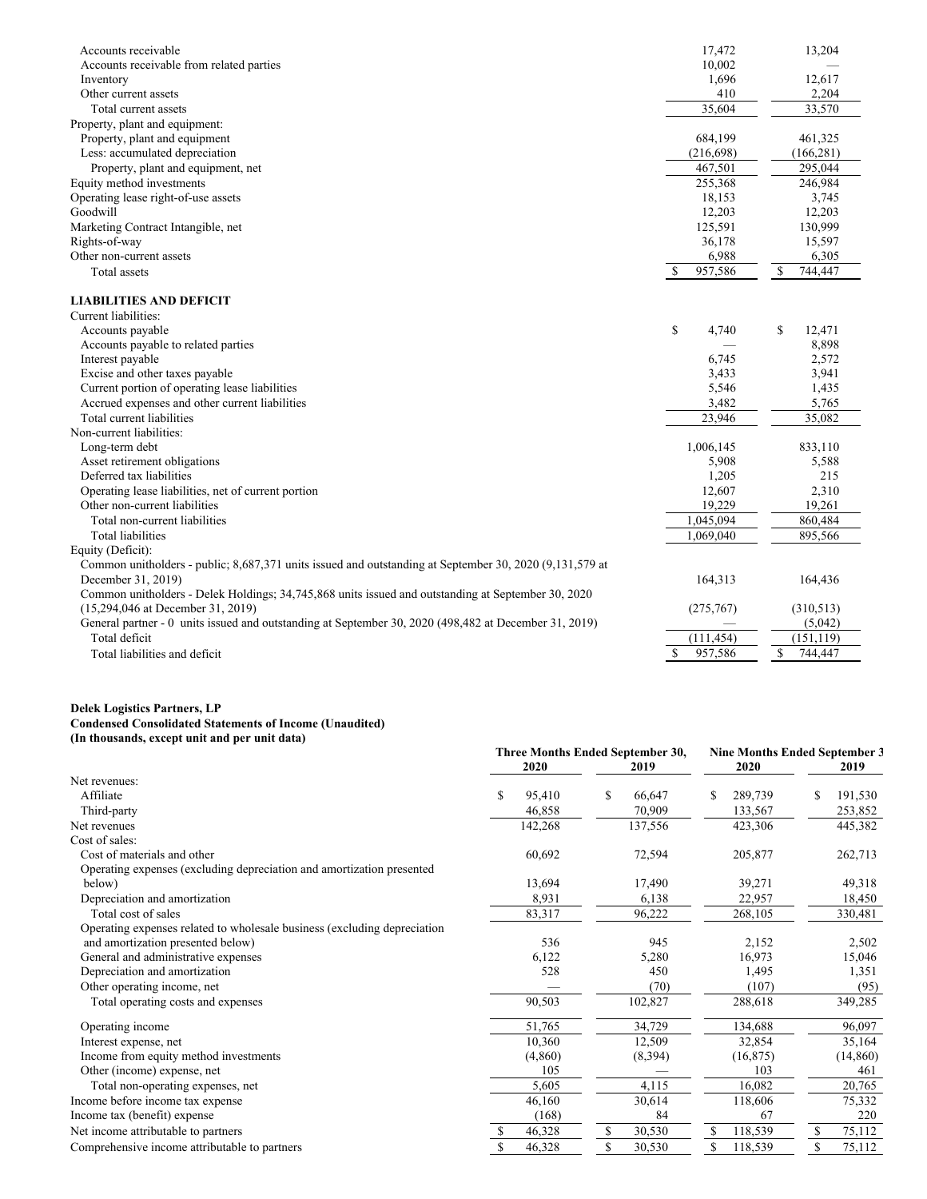| Accounts receivable                                                                                     | 17,472                   | 13,204        |
|---------------------------------------------------------------------------------------------------------|--------------------------|---------------|
| Accounts receivable from related parties                                                                | 10.002                   |               |
| Inventory                                                                                               | 1,696                    | 12,617        |
| Other current assets                                                                                    | 410                      | 2,204         |
| Total current assets                                                                                    | 35,604                   | 33,570        |
| Property, plant and equipment:                                                                          |                          |               |
| Property, plant and equipment                                                                           | 684,199                  | 461,325       |
| Less: accumulated depreciation                                                                          | (216, 698)               | (166, 281)    |
| Property, plant and equipment, net                                                                      | 467,501                  | 295,044       |
| Equity method investments                                                                               | 255,368                  | 246,984       |
| Operating lease right-of-use assets                                                                     | 18,153                   | 3,745         |
| Goodwill                                                                                                | 12,203                   | 12,203        |
| Marketing Contract Intangible, net                                                                      | 125,591                  | 130,999       |
| Rights-of-way                                                                                           | 36,178                   | 15,597        |
| Other non-current assets                                                                                | 6,988                    | 6,305         |
| Total assets                                                                                            | <sup>\$</sup><br>957,586 | \$<br>744,447 |
|                                                                                                         |                          |               |
| <b>LIABILITIES AND DEFICIT</b>                                                                          |                          |               |
| Current liabilities:                                                                                    |                          |               |
| Accounts payable                                                                                        | \$<br>4,740              | \$<br>12,471  |
| Accounts payable to related parties                                                                     |                          | 8,898         |
| Interest payable                                                                                        | 6.745                    | 2,572         |
| Excise and other taxes payable                                                                          | 3.433                    | 3,941         |
| Current portion of operating lease liabilities                                                          | 5,546                    | 1,435         |
| Accrued expenses and other current liabilities                                                          | 3,482                    | 5,765         |
| Total current liabilities                                                                               | 23,946                   | 35,082        |
| Non-current liabilities:                                                                                |                          |               |
| Long-term debt                                                                                          | 1,006,145                | 833,110       |
| Asset retirement obligations                                                                            | 5,908                    | 5,588         |
| Deferred tax liabilities                                                                                | 1,205                    | 215           |
| Operating lease liabilities, net of current portion                                                     | 12,607                   | 2,310         |
| Other non-current liabilities                                                                           | 19,229                   | 19.261        |
| Total non-current liabilities                                                                           | 1,045,094                | 860,484       |
| <b>Total liabilities</b>                                                                                | 1.069.040                | 895,566       |
| Equity (Deficit):                                                                                       |                          |               |
| Common unitholders - public; 8,687,371 units issued and outstanding at September 30, 2020 (9,131,579 at |                          |               |
| December 31, 2019)                                                                                      | 164,313                  | 164,436       |
| Common unitholders - Delek Holdings; 34,745,868 units issued and outstanding at September 30, 2020      |                          |               |
| (15,294,046 at December 31, 2019)                                                                       | (275,767)                | (310,513)     |
| General partner - 0 units issued and outstanding at September 30, 2020 (498,482 at December 31, 2019)   |                          | (5,042)       |
| Total deficit                                                                                           | (111, 454)               | (151, 119)    |
| Total liabilities and deficit                                                                           | \$<br>957,586            | \$<br>744,447 |
|                                                                                                         |                          |               |

#### **Delek Logistics Partners, LP Condensed Consolidated Statements of Income (Unaudited) (In thousands, except unit and per unit data)**

|                                                                          | 2020          | Three Months Ended September 30,<br>2019 | 2020          | <b>Nine Months Ended September 3</b><br>2019 |
|--------------------------------------------------------------------------|---------------|------------------------------------------|---------------|----------------------------------------------|
| Net revenues:                                                            |               |                                          |               |                                              |
| Affiliate                                                                | \$<br>95.410  | \$<br>66.647                             | 289,739<br>\$ | 191,530                                      |
| Third-party                                                              | 46,858        | 70,909                                   | 133,567       | 253,852                                      |
| Net revenues                                                             | 142,268       | 137,556                                  | 423,306       | 445,382                                      |
| Cost of sales:                                                           |               |                                          |               |                                              |
| Cost of materials and other                                              | 60,692        | 72,594                                   | 205,877       | 262,713                                      |
| Operating expenses (excluding depreciation and amortization presented    |               |                                          |               |                                              |
| below)                                                                   | 13,694        | 17,490                                   | 39,271        | 49,318                                       |
| Depreciation and amortization                                            | 8,931         | 6,138                                    | 22,957        | 18,450                                       |
| Total cost of sales                                                      | 83,317        | 96,222                                   | 268,105       | 330,481                                      |
| Operating expenses related to wholesale business (excluding depreciation |               |                                          |               |                                              |
| and amortization presented below)                                        | 536           | 945                                      | 2,152         | 2,502                                        |
| General and administrative expenses                                      | 6,122         | 5,280                                    | 16,973        | 15,046                                       |
| Depreciation and amortization                                            | 528           | 450                                      | 1,495         | 1,351                                        |
| Other operating income, net                                              |               | (70)                                     | (107)         | (95)                                         |
| Total operating costs and expenses                                       | 90,503        | 102,827                                  | 288,618       | 349,285                                      |
| Operating income                                                         | 51,765        | 34,729                                   | 134,688       | 96,097                                       |
| Interest expense, net                                                    | 10,360        | 12,509                                   | 32,854        | 35,164                                       |
| Income from equity method investments                                    | (4,860)       | (8,394)                                  | (16, 875)     | (14, 860)                                    |
| Other (income) expense, net                                              | 105           |                                          | 103           | 461                                          |
| Total non-operating expenses, net                                        | 5,605         | 4,115                                    | 16,082        | 20,765                                       |
| Income before income tax expense                                         | 46,160        | 30,614                                   | 118,606       | 75,332                                       |
| Income tax (benefit) expense                                             | (168)         | 84                                       | 67            | 220                                          |
| Net income attributable to partners                                      | 46,328<br>\$. | \$<br>30,530                             | \$<br>118,539 | S<br>75,112                                  |
| Comprehensive income attributable to partners                            | \$<br>46,328  | \$<br>30,530                             | \$<br>118,539 | S<br>75,112                                  |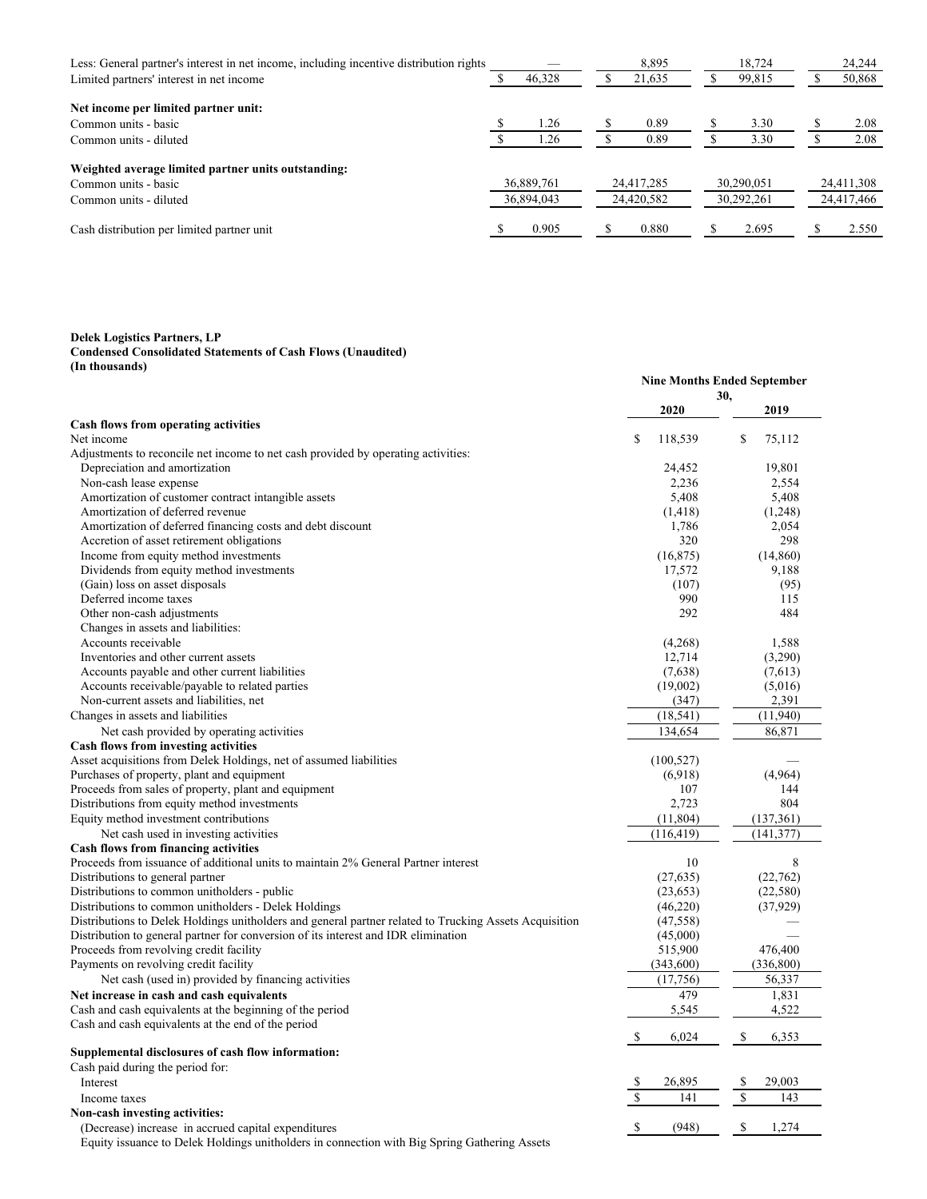| Less: General partner's interest in net income, including incentive distribution rights |            |            |            | 8.895      |            | 18,724     |            | 24,244     |
|-----------------------------------------------------------------------------------------|------------|------------|------------|------------|------------|------------|------------|------------|
| Limited partners' interest in net income                                                |            | 46,328     |            | 21,635     |            | 99,815     |            | 50,868     |
| Net income per limited partner unit:                                                    |            |            |            |            |            |            |            |            |
| Common units - basic                                                                    |            | 1.26       |            | 0.89       |            | 3.30       |            | 2.08       |
| Common units - diluted                                                                  |            | 1.26       |            | 0.89       |            | 3.30       |            | 2.08       |
| Weighted average limited partner units outstanding:                                     |            |            |            |            |            |            |            |            |
| Common units - basic                                                                    |            | 36,889,761 |            | 24,417,285 |            | 30.290.051 |            | 24,411,308 |
| Common units - diluted                                                                  | 36,894,043 |            | 24,420,582 |            | 30,292,261 |            | 24,417,466 |            |
| Cash distribution per limited partner unit                                              |            | 0.905      |            | 0.880      |            | 2.695      |            | 2.550      |

**Delek Logistics Partners, LP**

#### **Condensed Consolidated Statements of Cash Flows (Unaudited) (In thousands)**

|                                                                                                        |    | <b>Nine Months Ended September</b> |             |            |
|--------------------------------------------------------------------------------------------------------|----|------------------------------------|-------------|------------|
|                                                                                                        |    |                                    | 30,         |            |
|                                                                                                        |    | 2020                               |             | 2019       |
| Cash flows from operating activities<br>Net income                                                     | \$ |                                    | \$          |            |
|                                                                                                        |    | 118,539                            |             | 75,112     |
| Adjustments to reconcile net income to net cash provided by operating activities:                      |    |                                    |             |            |
| Depreciation and amortization                                                                          |    | 24,452<br>2.236                    |             | 19,801     |
| Non-cash lease expense                                                                                 |    | 5,408                              |             | 2,554      |
| Amortization of customer contract intangible assets                                                    |    |                                    |             | 5,408      |
| Amortization of deferred revenue                                                                       |    | (1, 418)                           |             | (1,248)    |
| Amortization of deferred financing costs and debt discount                                             |    | 1,786                              |             | 2,054      |
| Accretion of asset retirement obligations                                                              |    | 320                                |             | 298        |
| Income from equity method investments                                                                  |    | (16, 875)                          |             | (14, 860)  |
| Dividends from equity method investments                                                               |    | 17,572                             |             | 9,188      |
| (Gain) loss on asset disposals                                                                         |    | (107)                              |             | (95)       |
| Deferred income taxes                                                                                  |    | 990                                |             | 115        |
| Other non-cash adjustments                                                                             |    | 292                                |             | 484        |
| Changes in assets and liabilities:                                                                     |    |                                    |             |            |
| Accounts receivable                                                                                    |    | (4,268)                            |             | 1,588      |
| Inventories and other current assets                                                                   |    | 12,714                             |             | (3,290)    |
| Accounts payable and other current liabilities                                                         |    | (7,638)                            |             | (7,613)    |
| Accounts receivable/payable to related parties                                                         |    | (19,002)                           |             | (5,016)    |
| Non-current assets and liabilities, net                                                                |    | (347)                              |             | 2,391      |
| Changes in assets and liabilities                                                                      |    | (18, 541)                          |             | (11, 940)  |
| Net cash provided by operating activities                                                              |    | 134,654                            |             | 86,871     |
| Cash flows from investing activities                                                                   |    |                                    |             |            |
| Asset acquisitions from Delek Holdings, net of assumed liabilities                                     |    | (100, 527)                         |             |            |
| Purchases of property, plant and equipment                                                             |    | (6,918)                            |             | (4,964)    |
| Proceeds from sales of property, plant and equipment                                                   |    | 107                                |             | 144        |
| Distributions from equity method investments                                                           |    | 2,723                              |             | 804        |
| Equity method investment contributions                                                                 |    | (11, 804)                          |             | (137, 361) |
| Net cash used in investing activities                                                                  |    | (116, 419)                         |             | (141, 377) |
| Cash flows from financing activities                                                                   |    |                                    |             |            |
| Proceeds from issuance of additional units to maintain 2% General Partner interest                     |    | 10                                 |             | 8          |
| Distributions to general partner                                                                       |    | (27, 635)                          |             | (22,762)   |
| Distributions to common unitholders - public                                                           |    | (23, 653)                          |             | (22, 580)  |
| Distributions to common unitholders - Delek Holdings                                                   |    | (46,220)                           |             | (37, 929)  |
| Distributions to Delek Holdings unitholders and general partner related to Trucking Assets Acquisition |    | (47, 558)                          |             |            |
| Distribution to general partner for conversion of its interest and IDR elimination                     |    | (45,000)                           |             |            |
| Proceeds from revolving credit facility                                                                |    | 515,900                            |             | 476,400    |
| Payments on revolving credit facility                                                                  |    | (343,600)                          |             | (336, 800) |
| Net cash (used in) provided by financing activities                                                    |    | (17,756)                           |             | 56,337     |
| Net increase in cash and cash equivalents                                                              |    | 479                                |             | 1,831      |
| Cash and cash equivalents at the beginning of the period                                               |    | 5,545                              |             | 4,522      |
| Cash and cash equivalents at the end of the period                                                     |    |                                    |             |            |
|                                                                                                        | \$ | 6,024                              | \$          | 6,353      |
| Supplemental disclosures of cash flow information:                                                     |    |                                    |             |            |
| Cash paid during the period for:                                                                       |    |                                    |             |            |
| Interest                                                                                               | S  | 26,895                             | \$          | 29,003     |
|                                                                                                        | \$ | 141                                | $\mathbf S$ | 143        |
| Income taxes                                                                                           |    |                                    |             |            |
| Non-cash investing activities:                                                                         | \$ | (948)                              |             |            |
| (Decrease) increase in accrued capital expenditures                                                    |    |                                    | \$          | 1,274      |
| Equity issuance to Delek Holdings unitholders in connection with Big Spring Gathering Assets           |    |                                    |             |            |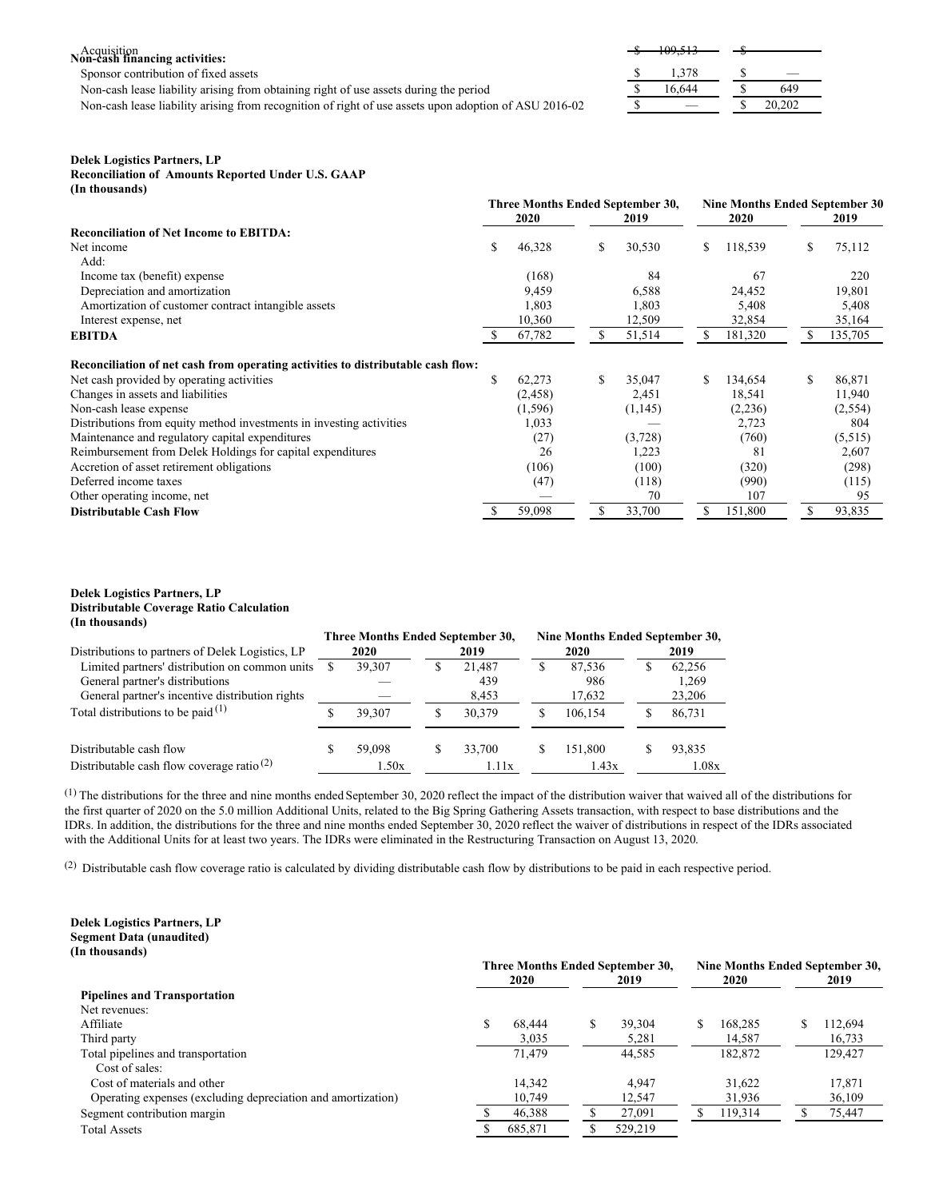# $A$ cquisition<br>**Non-cash financing activities:**

Sponsor contribution of fixed assets

Non-cash lease liability arising from obtaining right of use assets during the period

Non-cash lease liability arising from recognition of right of use assets upon adoption of ASU 2016-02

|   | <del>109,513</del> |   |        |  |
|---|--------------------|---|--------|--|
| ω |                    | ω |        |  |
|   |                    |   |        |  |
|   | 1,378              |   |        |  |
| S | 16,644             |   | 649    |  |
|   |                    |   |        |  |
| S |                    |   | 20,202 |  |

## **Delek Logistics Partners, LP**

**Reconciliation of Amounts Reported Under U.S. GAAP (In thousands)**

|                                                                                  | Three Months Ended September 30, |          |    | Nine Months Ended September 30 |    |         |    |         |
|----------------------------------------------------------------------------------|----------------------------------|----------|----|--------------------------------|----|---------|----|---------|
|                                                                                  |                                  | 2020     |    | 2019                           |    | 2020    |    | 2019    |
| <b>Reconciliation of Net Income to EBITDA:</b>                                   |                                  |          |    |                                |    |         |    |         |
| Net income                                                                       | S                                | 46,328   | \$ | 30,530                         | S  | 118,539 | \$ | 75,112  |
| Add:                                                                             |                                  |          |    |                                |    |         |    |         |
| Income tax (benefit) expense                                                     |                                  | (168)    |    | 84                             |    | 67      |    | 220     |
| Depreciation and amortization                                                    |                                  | 9,459    |    | 6,588                          |    | 24,452  |    | 19,801  |
| Amortization of customer contract intangible assets                              |                                  | 1,803    |    | 1,803                          |    | 5,408   |    | 5,408   |
| Interest expense, net                                                            |                                  | 10,360   |    | 12,509                         |    | 32,854  |    | 35,164  |
| <b>EBITDA</b>                                                                    | -S                               | 67,782   | S  | 51,514                         | S  | 181,320 | S  | 135,705 |
| Reconciliation of net cash from operating activities to distributable cash flow: |                                  |          |    |                                |    |         |    |         |
| Net cash provided by operating activities                                        | \$                               | 62,273   | \$ | 35,047                         | S  | 134,654 | \$ | 86,871  |
| Changes in assets and liabilities                                                |                                  | (2, 458) |    | 2,451                          |    | 18,541  |    | 11,940  |
| Non-cash lease expense                                                           |                                  | (1, 596) |    | (1,145)                        |    | (2,236) |    | (2,554) |
| Distributions from equity method investments in investing activities             |                                  | 1,033    |    |                                |    | 2,723   |    | 804     |
| Maintenance and regulatory capital expenditures                                  |                                  | (27)     |    | (3,728)                        |    | (760)   |    | (5,515) |
| Reimbursement from Delek Holdings for capital expenditures                       |                                  | 26       |    | 1,223                          |    | 81      |    | 2,607   |
| Accretion of asset retirement obligations                                        |                                  | (106)    |    | (100)                          |    | (320)   |    | (298)   |
| Deferred income taxes                                                            |                                  | (47)     |    | (118)                          |    | (990)   |    | (115)   |
| Other operating income, net                                                      |                                  |          |    | 70                             |    | 107     |    | 95      |
| <b>Distributable Cash Flow</b>                                                   |                                  | 59,098   | S  | 33,700                         | S. | 151,800 | S  | 93,835  |

## **Delek Logistics Partners, LP Distributable Coverage Ratio Calculation (In thousands)**

|                                                       | Three Months Ended September 30, |        |   |        |   | Nine Months Ended September 30, |   |        |
|-------------------------------------------------------|----------------------------------|--------|---|--------|---|---------------------------------|---|--------|
| Distributions to partners of Delek Logistics, LP      | 2020                             |        |   | 2019   |   | 2020                            |   | 2019   |
| Limited partners' distribution on common units        |                                  | 39,307 | S | 21.487 | S | 87.536                          | S | 62.256 |
| General partner's distributions                       |                                  |        |   | 439    |   | 986                             |   | 1,269  |
| General partner's incentive distribution rights       |                                  |        |   | 8,453  |   | 17,632                          |   | 23,206 |
| Total distributions to be paid $(1)$                  |                                  | 39,307 | S | 30.379 | S | 106.154                         | ъ | 86.731 |
| Distributable cash flow                               |                                  | 59,098 | S | 33,700 | S | 151.800                         | S | 93.835 |
| Distributable cash flow coverage ratio <sup>(2)</sup> |                                  | 1.50x  |   | 1.11x  |   | 1.43x                           |   | 1.08x  |

(1) The distributions for the three and nine months ended September 30, 2020 reflect the impact of the distribution waiver that waived all of the distributions for the first quarter of 2020 on the 5.0 million Additional Units, related to the Big Spring Gathering Assets transaction, with respect to base distributions and the IDRs. In addition, the distributions for the three and nine months ended September 30, 2020 reflect the waiver of distributions in respect of the IDRs associated with the Additional Units for at least two years. The IDRs were eliminated in the Restructuring Transaction on August 13, 2020.

(2) Distributable cash flow coverage ratio is calculated by dividing distributable cash flow by distributions to be paid in each respective period.

## **Delek Logistics Partners, LP Segment Data (unaudited) (In thousands)**

|                                                              | Three Months Ended September 30, |         |      |         |             | Nine Months Ended September 30, |  |         |  |  |
|--------------------------------------------------------------|----------------------------------|---------|------|---------|-------------|---------------------------------|--|---------|--|--|
|                                                              |                                  | 2020    | 2019 |         | <b>2020</b> |                                 |  | 2019    |  |  |
| <b>Pipelines and Transportation</b>                          |                                  |         |      |         |             |                                 |  |         |  |  |
| Net revenues:                                                |                                  |         |      |         |             |                                 |  |         |  |  |
| Affiliate                                                    | \$                               | 68.444  | S.   | 39,304  |             | 168,285                         |  | 112,694 |  |  |
| Third party                                                  |                                  | 3.035   |      | 5,281   |             | 14.587                          |  | 16,733  |  |  |
| Total pipelines and transportation                           |                                  | 71.479  |      | 44,585  |             | 182,872                         |  | 129,427 |  |  |
| Cost of sales:                                               |                                  |         |      |         |             |                                 |  |         |  |  |
| Cost of materials and other                                  |                                  | 14.342  |      | 4.947   |             | 31.622                          |  | 17.871  |  |  |
| Operating expenses (excluding depreciation and amortization) |                                  | 10.749  |      | 12,547  |             | 31,936                          |  | 36,109  |  |  |
| Segment contribution margin                                  |                                  | 46,388  |      | 27,091  |             | 119,314                         |  | 75,447  |  |  |
| <b>Total Assets</b>                                          |                                  | 685,871 |      | 529,219 |             |                                 |  |         |  |  |
|                                                              |                                  |         |      |         |             |                                 |  |         |  |  |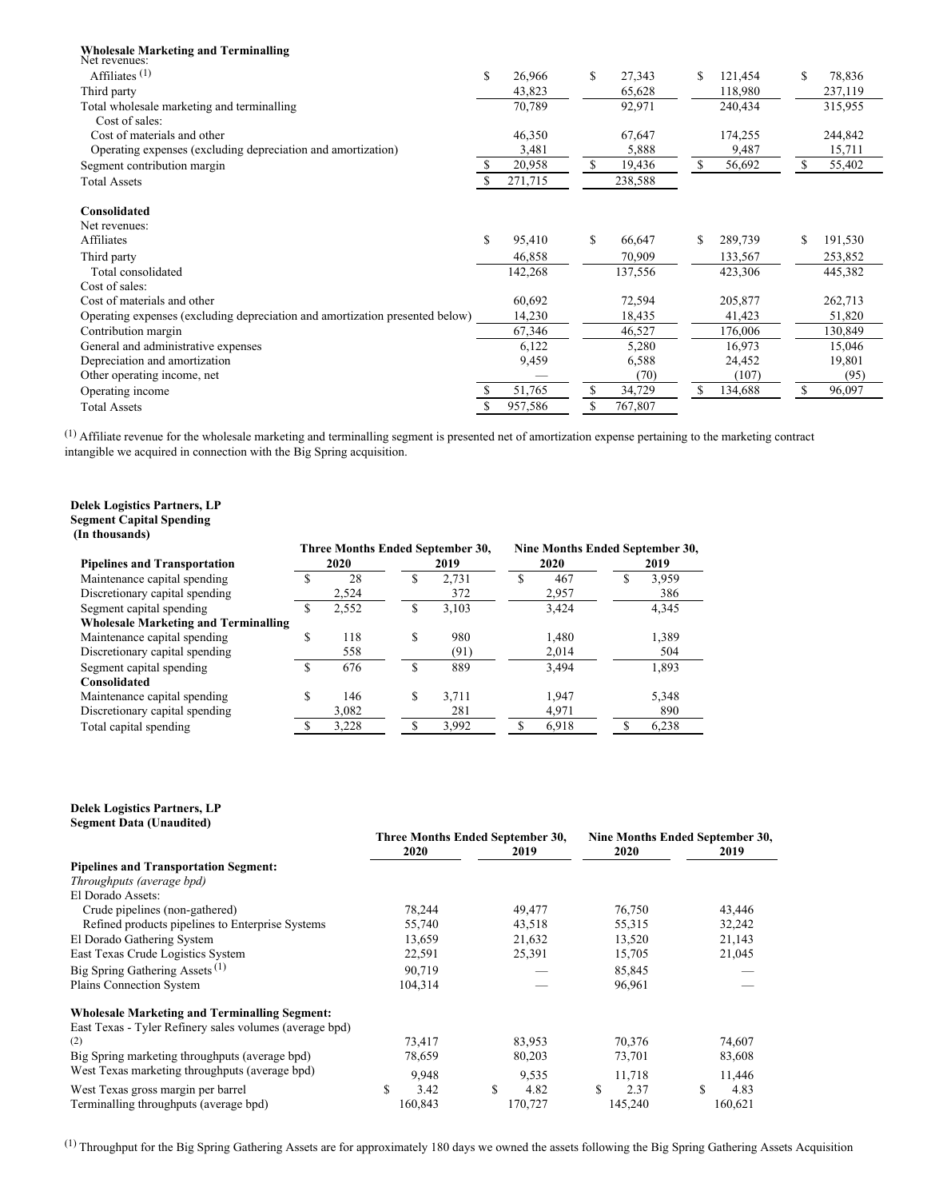| <b>Wholesale Marketing and Terminalling</b><br>Net revenues:                 |     |         |    |         |     |         |    |         |
|------------------------------------------------------------------------------|-----|---------|----|---------|-----|---------|----|---------|
| Affiliates $(1)$                                                             | \$  | 26,966  | \$ | 27,343  | S   | 121,454 | \$ | 78,836  |
| Third party                                                                  |     | 43,823  |    | 65,628  |     | 118,980 |    | 237,119 |
| Total wholesale marketing and terminalling                                   |     | 70,789  |    | 92,971  |     | 240,434 |    | 315,955 |
| Cost of sales:                                                               |     |         |    |         |     |         |    |         |
| Cost of materials and other                                                  |     | 46,350  |    | 67,647  |     | 174,255 |    | 244,842 |
| Operating expenses (excluding depreciation and amortization)                 |     | 3,481   |    | 5,888   |     | 9,487   |    | 15,711  |
| Segment contribution margin                                                  | \$. | 20,958  | S. | 19,436  | S   | 56,692  | S  | 55,402  |
| <b>Total Assets</b>                                                          |     | 271,715 |    | 238,588 |     |         |    |         |
| Consolidated                                                                 |     |         |    |         |     |         |    |         |
| Net revenues:                                                                |     |         |    |         |     |         |    |         |
| Affiliates                                                                   | \$  | 95,410  | \$ | 66,647  | \$. | 289,739 | S  | 191,530 |
| Third party                                                                  |     | 46,858  |    | 70,909  |     | 133,567 |    | 253,852 |
| Total consolidated                                                           |     | 142,268 |    | 137,556 |     | 423,306 |    | 445,382 |
| Cost of sales:                                                               |     |         |    |         |     |         |    |         |
| Cost of materials and other                                                  |     | 60,692  |    | 72,594  |     | 205,877 |    | 262,713 |
| Operating expenses (excluding depreciation and amortization presented below) |     | 14,230  |    | 18,435  |     | 41,423  |    | 51,820  |
| Contribution margin                                                          |     | 67,346  |    | 46,527  |     | 176,006 |    | 130,849 |
| General and administrative expenses                                          |     | 6,122   |    | 5,280   |     | 16.973  |    | 15,046  |
| Depreciation and amortization                                                |     | 9,459   |    | 6,588   |     | 24,452  |    | 19,801  |
| Other operating income, net                                                  |     |         |    | (70)    |     | (107)   |    | (95)    |
| Operating income                                                             |     | 51,765  | \$ | 34,729  | S   | 134,688 | S  | 96,097  |
| <b>Total Assets</b>                                                          |     | 957,586 | \$ | 767,807 |     |         |    |         |

 $<sup>(1)</sup>$  Affiliate revenue for the wholesale marketing and terminalling segment is presented net of amortization expense pertaining to the marketing contract</sup> intangible we acquired in connection with the Big Spring acquisition.

#### **Delek Logistics Partners, LP Segment Capital Spending (In thousands)**

|                                             | Three Months Ended September 30, |       |    |       | Nine Months Ended September 30, |       |   |       |  |  |
|---------------------------------------------|----------------------------------|-------|----|-------|---------------------------------|-------|---|-------|--|--|
| <b>Pipelines and Transportation</b>         | 2020<br>2019                     |       |    | 2020  |                                 | 2019  |   |       |  |  |
| Maintenance capital spending                | \$                               | 28    | ъ  | 2.731 | ъ.                              | 467   | ъ | 3,959 |  |  |
| Discretionary capital spending              |                                  | 2,524 |    | 372   |                                 | 2,957 |   | 386   |  |  |
| Segment capital spending                    | ۰D                               | 2,552 | D  | 3,103 |                                 | 3,424 |   | 4,345 |  |  |
| <b>Wholesale Marketing and Terminalling</b> |                                  |       |    |       |                                 |       |   |       |  |  |
| Maintenance capital spending                | D                                | 118   | \$ | 980   |                                 | 1,480 |   | 1,389 |  |  |
| Discretionary capital spending              |                                  | 558   |    | (91)  |                                 | 2,014 |   | 504   |  |  |
| Segment capital spending                    | S                                | 676   | \$ | 889   |                                 | 3,494 |   | 1,893 |  |  |
| Consolidated                                |                                  |       |    |       |                                 |       |   |       |  |  |
| Maintenance capital spending                | \$                               | 146   | \$ | 3,711 |                                 | 1.947 |   | 5,348 |  |  |
| Discretionary capital spending              |                                  | 3,082 |    | 281   |                                 | 4,971 |   | 890   |  |  |
| Total capital spending                      |                                  | 3,228 |    | 3,992 |                                 | 6,918 |   | 6,238 |  |  |

#### **Delek Logistics Partners, LP Segment Data (Unaudited)**

|                                                         | Three Months Ended September 30, |         | Nine Months Ended September 30, |         |  |         |   |         |
|---------------------------------------------------------|----------------------------------|---------|---------------------------------|---------|--|---------|---|---------|
|                                                         |                                  | 2020    |                                 | 2019    |  | 2020    |   | 2019    |
| <b>Pipelines and Transportation Segment:</b>            |                                  |         |                                 |         |  |         |   |         |
| Throughputs (average bpd)                               |                                  |         |                                 |         |  |         |   |         |
| El Dorado Assets:                                       |                                  |         |                                 |         |  |         |   |         |
| Crude pipelines (non-gathered)                          |                                  | 78,244  |                                 | 49,477  |  | 76,750  |   | 43,446  |
| Refined products pipelines to Enterprise Systems        |                                  | 55,740  |                                 | 43,518  |  | 55,315  |   | 32,242  |
| El Dorado Gathering System                              |                                  | 13,659  |                                 | 21,632  |  | 13,520  |   | 21,143  |
| East Texas Crude Logistics System                       |                                  | 22,591  |                                 | 25,391  |  | 15,705  |   | 21,045  |
| Big Spring Gathering Assets $(1)$                       |                                  | 90.719  |                                 |         |  | 85,845  |   |         |
| Plains Connection System                                |                                  | 104,314 |                                 |         |  | 96,961  |   |         |
| <b>Wholesale Marketing and Terminalling Segment:</b>    |                                  |         |                                 |         |  |         |   |         |
| East Texas - Tyler Refinery sales volumes (average bpd) |                                  |         |                                 |         |  |         |   |         |
| (2)                                                     |                                  | 73.417  |                                 | 83,953  |  | 70,376  |   | 74,607  |
| Big Spring marketing throughputs (average bpd)          |                                  | 78,659  |                                 | 80,203  |  | 73,701  |   | 83,608  |
| West Texas marketing throughputs (average bpd)          |                                  | 9,948   |                                 | 9,535   |  | 11,718  |   | 11,446  |
| West Texas gross margin per barrel                      |                                  | 3.42    | S                               | 4.82    |  | 2.37    | S | 4.83    |
| Terminalling throughputs (average bpd)                  |                                  | 160,843 |                                 | 170,727 |  | 145,240 |   | 160,621 |

(1) Throughput for the Big Spring Gathering Assets are for approximately 180 days we owned the assets following the Big Spring Gathering Assets Acquisition